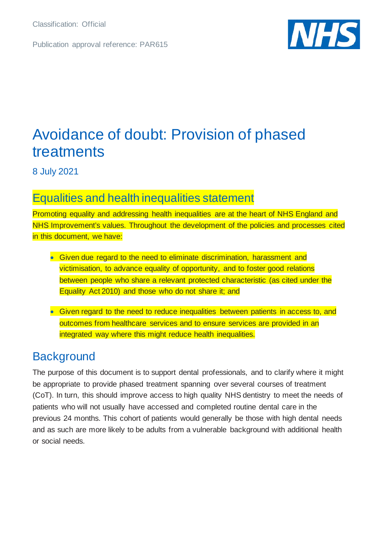Classification: Official

Publication approval reference: PAR615



# Avoidance of doubt: Provision of phased treatments

8 July 2021

## Equalities and health inequalities statement

Promoting equality and addressing health inequalities are at the heart of NHS England and NHS Improvement's values. Throughout the development of the policies and processes cited in this document, we have:

- Given due regard to the need to eliminate discrimination, harassment and victimisation, to advance equality of opportunity, and to foster good relations between people who share a relevant protected characteristic (as cited under the Equality Act 2010) and those who do not share it; and
- Given regard to the need to reduce inequalities between patients in access to, and outcomes from healthcare services and to ensure services are provided in an integrated way where this might reduce health inequalities.

# **Background**

The purpose of this document is to support dental professionals, and to clarify where it might be appropriate to provide phased treatment spanning over several courses of treatment (CoT). In turn, this should improve access to high quality NHS dentistry to meet the needs of patients who will not usually have accessed and completed routine dental care in the previous 24 months. This cohort of patients would generally be those with high dental needs and as such are more likely to be adults from a vulnerable background with additional health or social needs.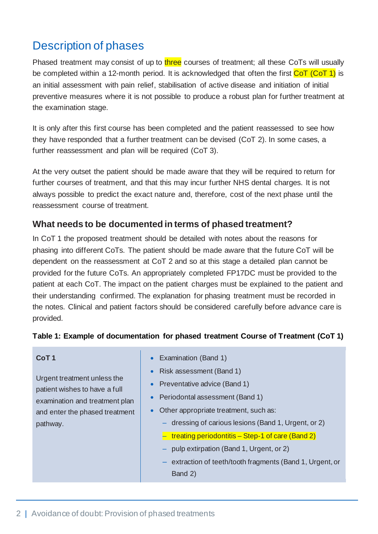# Description of phases

Phased treatment may consist of up to three courses of treatment; all these CoTs will usually be completed within a 12-month period. It is acknowledged that often the first  $\overline{C \circ T (C \circ T)}$  is an initial assessment with pain relief, stabilisation of active disease and initiation of initial preventive measures where it is not possible to produce a robust plan for further treatment at the examination stage.

It is only after this first course has been completed and the patient reassessed to see how they have responded that a further treatment can be devised (CoT 2). In some cases, a further reassessment and plan will be required (CoT 3).

At the very outset the patient should be made aware that they will be required to return for further courses of treatment, and that this may incur further NHS dental charges. It is not always possible to predict the exact nature and, therefore, cost of the next phase until the reassessment course of treatment.

### **What needs to be documented in terms of phased treatment?**

In CoT 1 the proposed treatment should be detailed with notes about the reasons for phasing into different CoTs. The patient should be made aware that the future CoT will be dependent on the reassessment at CoT 2 and so at this stage a detailed plan cannot be provided for the future CoTs. An appropriately completed FP17DC must be provided to the patient at each CoT. The impact on the patient charges must be explained to the patient and their understanding confirmed. The explanation for phasing treatment must be recorded in the notes. Clinical and patient factors should be considered carefully before advance care is provided.

#### **Table 1: Example of documentation for phased treatment Course of Treatment (CoT 1)**

|                                | CoT <sub>1</sub>                        | • Examination (Band 1)                               |
|--------------------------------|-----------------------------------------|------------------------------------------------------|
|                                | Urgent treatment unless the             | Risk assessment (Band 1)<br>$\bullet$                |
|                                | patient wishes to have a full           | • Preventative advice (Band 1)                       |
|                                | examination and treatment plan          | Periodontal assessment (Band 1)                      |
| and enter the phased treatment | • Other appropriate treatment, such as: |                                                      |
|                                | pathway.                                | - dressing of carious lesions (Band 1, Urgent, or 2) |
|                                |                                         | $-$ treating periodontitis – Step-1 of care (Band 2) |

- pulp extirpation (Band 1, Urgent, or 2)
- ‒ extraction of teeth/tooth fragments (Band 1, Urgent, or Band 2)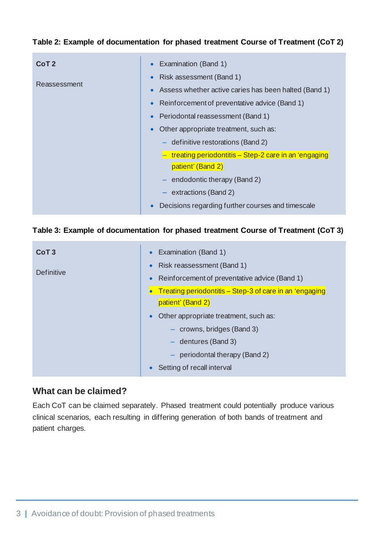#### **Table 2: Example of documentation for phased treatment Course of Treatment (CoT 2)**

| CoT <sub>2</sub><br>Reassessment | Examination (Band 1)<br>$\bullet$<br>Risk assessment (Band 1)<br>$\bullet$<br>Assess whether active caries has been halted (Band 1)<br>$\bullet$<br>Reinforcement of preventative advice (Band 1)<br>$\bullet$<br>Periodontal reassessment (Band 1)<br>$\bullet$<br>Other appropriate treatment, such as:<br>$\bullet$<br>$-$ definitive restorations (Band 2)<br>$-$ treating periodontitis – Step-2 care in an 'engaging'<br>patient' (Band 2)<br>$-$ endodontic therapy (Band 2)<br>extractions (Band 2) |
|----------------------------------|-------------------------------------------------------------------------------------------------------------------------------------------------------------------------------------------------------------------------------------------------------------------------------------------------------------------------------------------------------------------------------------------------------------------------------------------------------------------------------------------------------------|
| $\bullet$                        | Decisions regarding further courses and timescale                                                                                                                                                                                                                                                                                                                                                                                                                                                           |

#### **Table 3: Example of documentation for phased treatment Course of Treatment (CoT 3)**

| CoT <sub>3</sub> | Examination (Band 1)<br>$\bullet$                          |  |
|------------------|------------------------------------------------------------|--|
| Definitive       | Risk reassessment (Band 1)<br>$\bullet$                    |  |
|                  | Reinforcement of preventative advice (Band 1)<br>$\bullet$ |  |
|                  | Treating periodontitis - Step-3 of care in an 'engaging    |  |
|                  | patient' (Band 2)                                          |  |
|                  | Other appropriate treatment, such as:<br>$\bullet$         |  |
|                  | - crowns, bridges (Band 3)                                 |  |
|                  | $-$ dentures (Band 3)                                      |  |
|                  | periodontal therapy (Band 2)<br>$\overline{\phantom{m}}$   |  |
|                  | Setting of recall interval                                 |  |

### **What can be claimed?**

Each CoT can be claimed separately. Phased treatment could potentially produce various clinical scenarios, each resulting in differing generation of both bands of treatment and patient charges.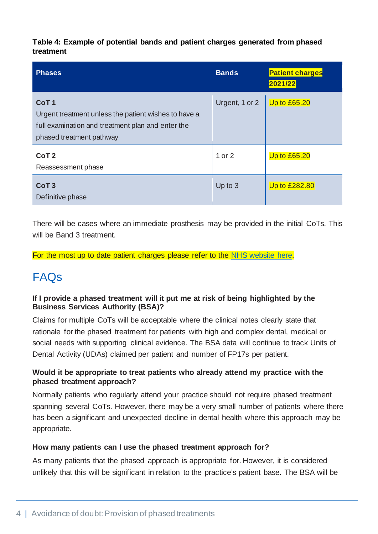**Table 4: Example of potential bands and patient charges generated from phased treatment**

| <b>Phases</b>                                                                                                                                             | <b>Bands</b>   | <b>Patient charges</b><br>2021/22 |
|-----------------------------------------------------------------------------------------------------------------------------------------------------------|----------------|-----------------------------------|
| CoT <sub>1</sub><br>Urgent treatment unless the patient wishes to have a<br>full examination and treatment plan and enter the<br>phased treatment pathway | Urgent, 1 or 2 | <b>Up to £65.20</b>               |
| CoT <sub>2</sub><br>Reassessment phase                                                                                                                    | 1 or 2         | <b>Up to £65.20</b>               |
| CoT <sub>3</sub><br>Definitive phase                                                                                                                      | Up to 3        | Up to £282.80                     |

There will be cases where an immediate prosthesis may be provided in the initial CoTs. This will be Band 3 treatment.

For the most up to date patient charges please refer to the [NHS website here.](https://www.nhs.uk/nhs-services/dentists/dental-costs/what-is-included-in-each-nhs-dental-band-charge/)

# FAQs

#### **If I provide a phased treatment will it put me at risk of being highlighted by the Business Services Authority (BSA)?**

Claims for multiple CoTs will be acceptable where the clinical notes clearly state that rationale for the phased treatment for patients with high and complex dental, medical or social needs with supporting clinical evidence. The BSA data will continue to track Units of Dental Activity (UDAs) claimed per patient and number of FP17s per patient.

#### **Would it be appropriate to treat patients who already attend my practice with the phased treatment approach?**

Normally patients who regularly attend your practice should not require phased treatment spanning several CoTs. However, there may be a very small number of patients where there has been a significant and unexpected decline in dental health where this approach may be appropriate.

#### **How many patients can I use the phased treatment approach for?**

As many patients that the phased approach is appropriate for. However, it is considered unlikely that this will be significant in relation to the practice's patient base. The BSA will be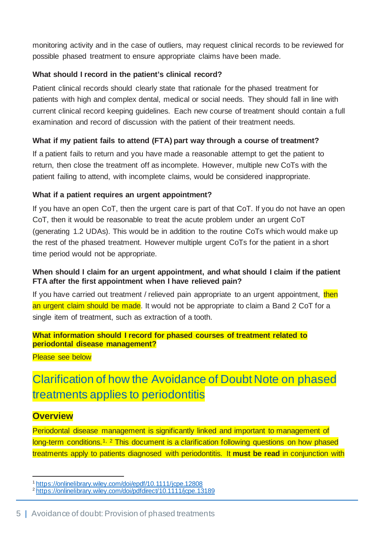monitoring activity and in the case of outliers, may request clinical records to be reviewed for possible phased treatment to ensure appropriate claims have been made.

#### **What should I record in the patient's clinical record?**

Patient clinical records should clearly state that rationale for the phased treatment for patients with high and complex dental, medical or social needs. They should fall in line with current clinical record keeping guidelines. Each new course of treatment should contain a full examination and record of discussion with the patient of their treatment needs.

#### **What if my patient fails to attend (FTA) part way through a course of treatment?**

If a patient fails to return and you have made a reasonable attempt to get the patient to return, then close the treatment off as incomplete. However, multiple new CoTs with the patient failing to attend, with incomplete claims, would be considered inappropriate.

#### **What if a patient requires an urgent appointment?**

If you have an open CoT, then the urgent care is part of that CoT. If you do not have an open CoT, then it would be reasonable to treat the acute problem under an urgent CoT (generating 1.2 UDAs). This would be in addition to the routine CoTs which would make up the rest of the phased treatment. However multiple urgent CoTs for the patient in a short time period would not be appropriate.

#### **When should I claim for an urgent appointment, and what should I claim if the patient FTA after the first appointment when I have relieved pain?**

If you have carried out treatment / relieved pain appropriate to an urgent appointment, then an urgent claim should be made. It would not be appropriate to claim a Band 2 CoT for a single item of treatment, such as extraction of a tooth.

#### **What information should I record for phased courses of treatment related to periodontal disease management?**

Please see below

# Clarification of how the Avoidance of Doubt Note on phased treatments applies to periodontitis

### **Overview**

Periodontal disease management is significantly linked and important to management of long-term conditions.<sup>[1](#page-4-0), [2](#page-4-1)</sup> This document is a clarification following questions on how phased treatments apply to patients diagnosed with periodontitis. It **must be read** in conjunction with

<span id="page-4-0"></span><sup>1</sup> <https://onlinelibrary.wiley.com/doi/epdf/10.1111/jcpe.12808>

<span id="page-4-1"></span><sup>&</sup>lt;sup>2</sup> <https://onlinelibrary.wiley.com/doi/pdfdirect/10.1111/jcpe.13189>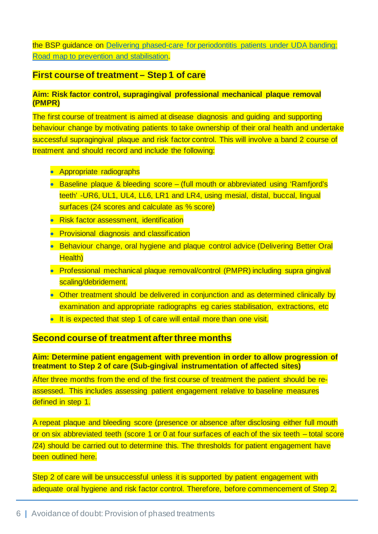the BSP guidance on [Delivering phased-care for periodontitis patients under UDA banding:](https://www.bsperio.org.uk/assets/downloads/Delivering_phased_Care_Final_6th_May_2021_1.pdf)  [Road map to prevention and stabilisation.](https://www.bsperio.org.uk/assets/downloads/Delivering_phased_Care_Final_6th_May_2021_1.pdf)

#### **First course of treatment – Step 1 of care**

#### **Aim: Risk factor control, supragingival professional mechanical plaque removal (PMPR)**

The first course of treatment is aimed at disease diagnosis and guiding and supporting behaviour change by motivating patients to take ownership of their oral health and undertake successful supragingival plaque and risk factor control. This will involve a band 2 course of treatment and should record and include the following:

- Appropriate radiographs
- Baseline plaque & bleeding score (full mouth or abbreviated using 'Ramfjord's teeth' -UR6, UL1, UL4, LL6, LR1 and LR4, using mesial, distal, buccal, lingual surfaces (24 scores and calculate as % score)
- Risk factor assessment, identification
- Provisional diagnosis and classification
- Behaviour change, oral hygiene and plaque control advice (Delivering Better Oral Health)
- Professional mechanical plaque removal/control (PMPR) including supra gingival scaling/debridement.
- Other treatment should be delivered in conjunction and as determined clinically by examination and appropriate radiographs eg caries stabilisation, extractions, etc
- It is expected that step 1 of care will entail more than one visit.

#### **Second course of treatment after three months**

**Aim: Determine patient engagement with prevention in order to allow progression of treatment to Step 2 of care (Sub-gingival instrumentation of affected sites)**

After three months from the end of the first course of treatment the patient should be reassessed. This includes assessing patient engagement relative to baseline measures defined in step 1.

A repeat plaque and bleeding score (presence or absence after disclosing either full mouth or on six abbreviated teeth (score 1 or 0 at four surfaces of each of the six teeth – total score /24) should be carried out to determine this. The thresholds for patient engagement have been outlined here.

Step 2 of care will be unsuccessful unless it is supported by patient engagement with adequate oral hygiene and risk factor control. Therefore, before commencement of Step 2,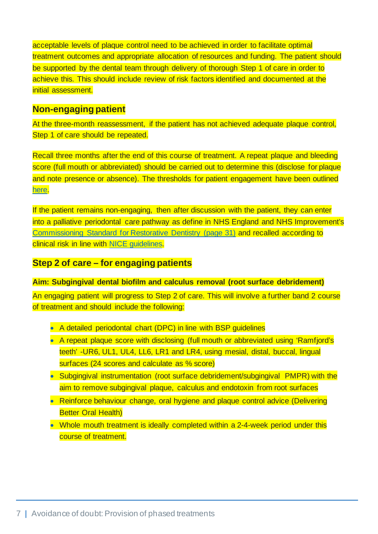acceptable levels of plaque control need to be achieved in order to facilitate optimal treatment outcomes and appropriate allocation of resources and funding. The patient should be supported by the dental team through delivery of thorough Step 1 of care in order to achieve this. This should include review of risk factors identified and documented at the initial assessment.

#### **Non-engaging patient**

At the three-month reassessment, if the patient has not achieved adequate plaque control, Step 1 of care should be repeated.

Recall three months after the end of this course of treatment. A repeat plaque and bleeding score (full mouth or abbreviated) should be carried out to determine this (disclose for plaque and note presence or absence). The thresholds for patient engagement have been outlined [here.](https://www.england.nhs.uk/wp-content/uploads/2019/07/commissioning-standard-for-restorative-dentistry-v1.pdf)

If the patient remains non-engaging, then after discussion with the patient, they can enter into a palliative periodontal care pathway as define in NHS England and NHS Improvement's [Commissioning Standard for Restorative Dentistry \(page 31\)](https://www.england.nhs.uk/wp-content/uploads/2019/07/commissioning-standard-for-restorative-dentistry-v1.pdf) and recalled according to clinical risk in line with [NICE guidelines.](https://www.nice.org.uk/guidance/cg19/resources/dental-recall-recall-interval-between-routine-dental-examinations-pdf-250576826821)

### **Step 2 of care – for engaging patients**

#### **Aim: Subgingival dental biofilm and calculus removal (root surface debridement)**

An engaging patient will progress to Step 2 of care. This will involve a further band 2 course of treatment and should include the following:

- A detailed periodontal chart (DPC) in line with BSP guidelines
- A repeat plaque score with disclosing (full mouth or abbreviated using 'Ramfjord's teeth' -UR6, UL1, UL4, LL6, LR1 and LR4, using mesial, distal, buccal, lingual surfaces (24 scores and calculate as % score)
- Subgingival instrumentation (root surface debridement/subgingival PMPR) with the aim to remove subgingival plaque, calculus and endotoxin from root surfaces
- Reinforce behaviour change, oral hygiene and plaque control advice (Delivering **Better Oral Health)**
- Whole mouth treatment is ideally completed within a 2-4-week period under this course of treatment.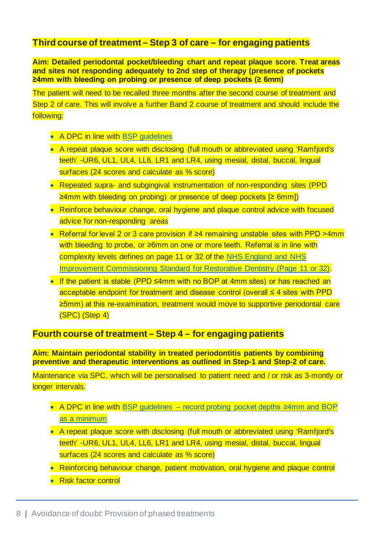### **Third course of treatment – Step 3 of care – for engaging patients**

**Aim: Detailed periodontal pocket/bleeding chart and repeat plaque score. Treat areas and sites not responding adequately to 2nd step of therapy (presence of pockets ≥4mm with bleeding on probing or presence of deep pockets (≥ 6mm)**

The patient will need to be recalled three months after the second course of treatment and Step 2 of care. This will involve a further Band 2 course of treatment and should include the following:

- A DPC in line with BSP quidelines
- A repeat plaque score with disclosing (full mouth or abbreviated using 'Ramfjord's teeth' -UR6, UL1, UL4, LL6, LR1 and LR4, using mesial, distal, buccal, lingual surfaces (24 scores and calculate as % score)
- Repeated supra- and subgingival instrumentation of non-responding sites (PPD ≥4mm with bleeding on probing) or presence of deep pockets [≥ 6mm])
- Reinforce behaviour change, oral hygiene and plaque control advice with focused advice for non-responding areas
- Referral for level 2 or 3 care provision if ≥4 remaining unstable sites with PPD >4mm with bleeding to probe, or ≥6mm on one or more teeth. Referral is in line with complexity levels defines on page 11 or 32 of the [NHS England and NHS](https://www.england.nhs.uk/wp-content/uploads/2019/07/commissioning-standard-for-restorative-dentistry-v1.pdf)  Improvement [Commissioning Standard for Restorative Dentistry \(Page 11 or 32\).](https://www.england.nhs.uk/wp-content/uploads/2019/07/commissioning-standard-for-restorative-dentistry-v1.pdf)
- If the patient is stable (PPD ≤4mm with no BOP at 4mm sites) or has reached an acceptable endpoint for treatment and disease control (overall ≤ 4 sites with PPD ≥5mm) at this re-examination, treatment would move to supportive periodontal care (SPC) (Step 4)

#### **Fourth course of treatment – Step 4 – for engaging patients**

**Aim: Maintain periodontal stability in treated periodontitis patients by combining preventive and therapeutic interventions as outlined in Step-1 and Step-2 of care.**

Maintenance via SPC, which will be personalised to patient need and / or risk as 3-montly or longer intervals.

- A DPC in line with BSP guidelines record probing pocket depths ≥4mm and BOP [as a minimum](https://www.bsperio.org.uk/assets/downloads/111_153050_bsp-flowchart-implementing-the-2017-classification.pdf)
- A repeat plaque score with disclosing (full mouth or abbreviated using 'Ramfjord's teeth' -UR6, UL1, UL4, LL6, LR1 and LR4, using mesial, distal, buccal, lingual surfaces (24 scores and calculate as % score)
- Reinforcing behaviour change, patient motivation, oral hygiene and plaque control
- Risk factor control